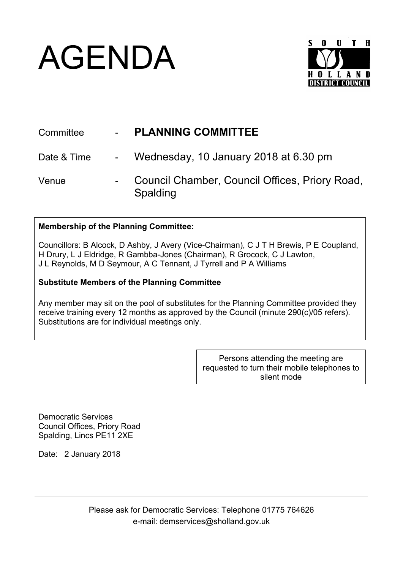## AGENDA



| Committee   | <b>PLANNING COMMITTEE</b>                                  |
|-------------|------------------------------------------------------------|
| Date & Time | - Wednesday, 10 January 2018 at 6.30 pm                    |
| Venue       | Council Chamber, Council Offices, Priory Road,<br>Spalding |

## **Membership of the Planning Committee:**

Councillors: B Alcock, D Ashby, J Avery (Vice-Chairman), C J T H Brewis, P E Coupland, H Drury, L J Eldridge, R Gambba-Jones (Chairman), R Grocock, C J Lawton, J L Reynolds, M D Seymour, A C Tennant, J Tyrrell and P A Williams

## **Substitute Members of the Planning Committee**

Any member may sit on the pool of substitutes for the Planning Committee provided they receive training every 12 months as approved by the Council (minute 290(c)/05 refers). Substitutions are for individual meetings only.

> Persons attending the meeting are requested to turn their mobile telephones to silent mode

Democratic Services Council Offices, Priory Road Spalding, Lincs PE11 2XE

Date: 2 January 2018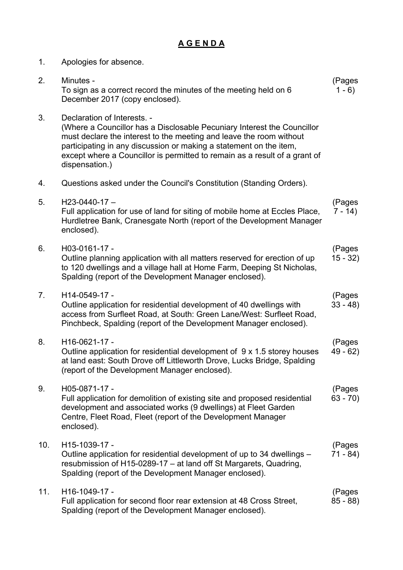## **A G E N D A**

| 1.  | Apologies for absence.                                                                                                                                                                                                                                                                                                                              |                     |
|-----|-----------------------------------------------------------------------------------------------------------------------------------------------------------------------------------------------------------------------------------------------------------------------------------------------------------------------------------------------------|---------------------|
| 2.  | Minutes -<br>To sign as a correct record the minutes of the meeting held on 6<br>December 2017 (copy enclosed).                                                                                                                                                                                                                                     | (Pages<br>$1 - 6$   |
| 3.  | Declaration of Interests. -<br>(Where a Councillor has a Disclosable Pecuniary Interest the Councillor<br>must declare the interest to the meeting and leave the room without<br>participating in any discussion or making a statement on the item,<br>except where a Councillor is permitted to remain as a result of a grant of<br>dispensation.) |                     |
| 4.  | Questions asked under the Council's Constitution (Standing Orders).                                                                                                                                                                                                                                                                                 |                     |
| 5.  | $H23-0440-17-$<br>Full application for use of land for siting of mobile home at Eccles Place,<br>Hurdletree Bank, Cranesgate North (report of the Development Manager<br>enclosed).                                                                                                                                                                 | (Pages<br>$7 - 14$  |
| 6.  | H03-0161-17 -<br>Outline planning application with all matters reserved for erection of up<br>to 120 dwellings and a village hall at Home Farm, Deeping St Nicholas,<br>Spalding (report of the Development Manager enclosed).                                                                                                                      | (Pages<br>$15 - 32$ |
| 7.  | H14-0549-17 -<br>Outline application for residential development of 40 dwellings with<br>access from Surfleet Road, at South: Green Lane/West: Surfleet Road,<br>Pinchbeck, Spalding (report of the Development Manager enclosed).                                                                                                                  | (Pages<br>$33 - 48$ |
| 8.  | H16-0621-17 -<br>Outline application for residential development of 9 x 1.5 storey houses<br>at land east: South Drove off Littleworth Drove, Lucks Bridge, Spalding<br>(report of the Development Manager enclosed).                                                                                                                               | (Pages<br>49 - 62)  |
| 9.  | H05-0871-17 -<br>Full application for demolition of existing site and proposed residential<br>development and associated works (9 dwellings) at Fleet Garden<br>Centre, Fleet Road, Fleet (report of the Development Manager<br>enclosed).                                                                                                          | (Pages<br>$63 - 70$ |
| 10. | H15-1039-17 -<br>Outline application for residential development of up to 34 dwellings –<br>resubmission of H15-0289-17 - at land off St Margarets, Quadring,<br>Spalding (report of the Development Manager enclosed).                                                                                                                             | (Pages<br>$71 - 84$ |
| 11. | H16-1049-17 -<br>Full application for second floor rear extension at 48 Cross Street,<br>Spalding (report of the Development Manager enclosed).                                                                                                                                                                                                     | (Pages<br>$85 - 88$ |